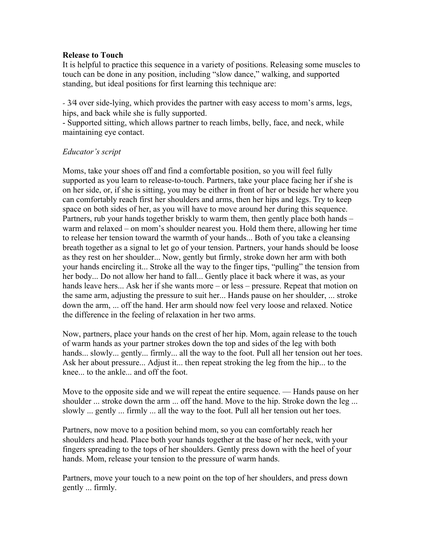## **Release to Touch**

It is helpful to practice this sequence in a variety of positions. Releasing some muscles to touch can be done in any position, including "slow dance," walking, and supported standing, but ideal positions for first learning this technique are:

- 3⁄4 over side-lying, which provides the partner with easy access to mom's arms, legs, hips, and back while she is fully supported.

- Supported sitting, which allows partner to reach limbs, belly, face, and neck, while maintaining eye contact.

## *Educator's script*

Moms, take your shoes off and find a comfortable position, so you will feel fully supported as you learn to release-to-touch. Partners, take your place facing her if she is on her side, or, if she is sitting, you may be either in front of her or beside her where you can comfortably reach first her shoulders and arms, then her hips and legs. Try to keep space on both sides of her, as you will have to move around her during this sequence. Partners, rub your hands together briskly to warm them, then gently place both hands – warm and relaxed – on mom's shoulder nearest you. Hold them there, allowing her time to release her tension toward the warmth of your hands... Both of you take a cleansing breath together as a signal to let go of your tension. Partners, your hands should be loose as they rest on her shoulder... Now, gently but firmly, stroke down her arm with both your hands encircling it... Stroke all the way to the finger tips, "pulling" the tension from her body... Do not allow her hand to fall... Gently place it back where it was, as your hands leave hers... Ask her if she wants more – or less – pressure. Repeat that motion on the same arm, adjusting the pressure to suit her... Hands pause on her shoulder, ... stroke down the arm, ... off the hand. Her arm should now feel very loose and relaxed. Notice the difference in the feeling of relaxation in her two arms.

Now, partners, place your hands on the crest of her hip. Mom, again release to the touch of warm hands as your partner strokes down the top and sides of the leg with both hands... slowly... gently... firmly... all the way to the foot. Pull all her tension out her toes. Ask her about pressure... Adjust it... then repeat stroking the leg from the hip... to the knee... to the ankle... and off the foot.

Move to the opposite side and we will repeat the entire sequence. — Hands pause on her shoulder ... stroke down the arm ... off the hand. Move to the hip. Stroke down the leg ... slowly ... gently ... firmly ... all the way to the foot. Pull all her tension out her toes.

Partners, now move to a position behind mom, so you can comfortably reach her shoulders and head. Place both your hands together at the base of her neck, with your fingers spreading to the tops of her shoulders. Gently press down with the heel of your hands. Mom, release your tension to the pressure of warm hands.

Partners, move your touch to a new point on the top of her shoulders, and press down gently ... firmly.